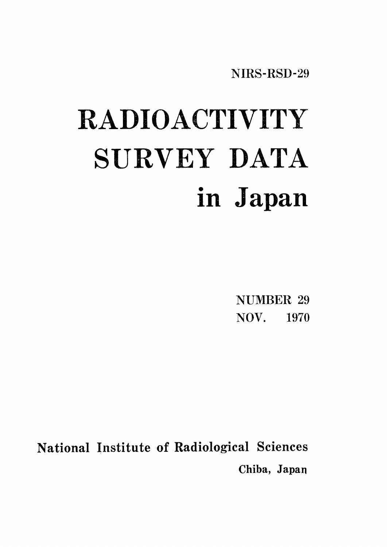NIRS-RSD-29

# RADIOACTIVITY SURVEY DATA in Japan

**NUMBER 29** NOV. 1970

National Institute of Radiological Sciences Chiba, Japan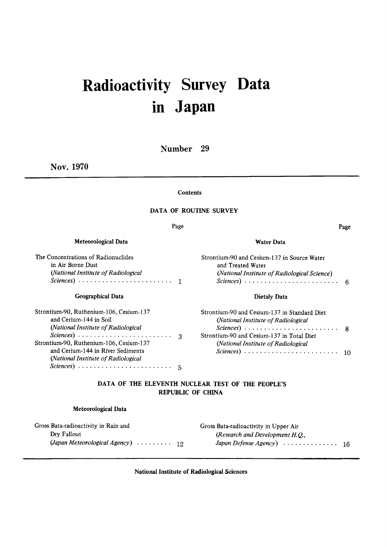# Radioactivity Survey Data inJapan

Number 29

Nov.1970

Contents

#### DATA OF ROUTINE SURVEY

| ٠ |  |  |
|---|--|--|

Meteorological Data

The Concentrations of Radionuclides in Air Borne Dust (National Institute of Radiological  $Science) \cdots \cdots \cdots \cdots \cdots \cdots \cdots 1$ 

#### Geographical Data

| Strontium-90, Ruthenium-106, Cesium-137                             |   |
|---------------------------------------------------------------------|---|
| and Cerium-144 in Soil                                              |   |
| (National Institute of Radiological                                 |   |
| $Sciences) \cdots \cdots \cdots \cdots \cdots \cdots \cdots \cdots$ | 3 |
| Strontium-90, Ruthenium-106, Cesium-137                             |   |
| and Cerium-144 in River Sediments                                   |   |
| (National Institute of Radiological                                 |   |
| $Sciences) \cdots \cdots \cdots \cdots \cdots \cdots \cdots \cdots$ |   |
|                                                                     |   |

**Water Data** 

Strontium-90 and Cesium-137 in Source Water and Treated Water (National Institute of Radiological Science)  $Sciences) \cdots \cdots \cdots \cdots \cdots \cdots \cdots 6$ 

Page

#### Dietaly Data

| Strontium-90 and Cesium-137 in Standard Diet |  |
|----------------------------------------------|--|
| (National Institute of Radiological          |  |
|                                              |  |
| Strontium-90 and Cesium-137 in Total Diet    |  |
| (National Institute of Radiological          |  |
|                                              |  |

#### DATA OF THE ELEVENTH NUCLEAR TEST OF THE PEOPLE'S **REPUBLIC OF CHINA**

#### Meteorological Data

| Gross Bata-radioactivity in Rain and                    | Gross Bata-radioactivity in Upper Air                               |
|---------------------------------------------------------|---------------------------------------------------------------------|
| Dry Fallout                                             | (Research and Development H.O.,                                     |
| (Japan Meteorological Agency) $\cdots \cdots \cdots$ 12 | <i>Japan Defense Agency</i> $\ldots \ldots \ldots \ldots \ldots$ 16 |

National Institute of Radiological Sciences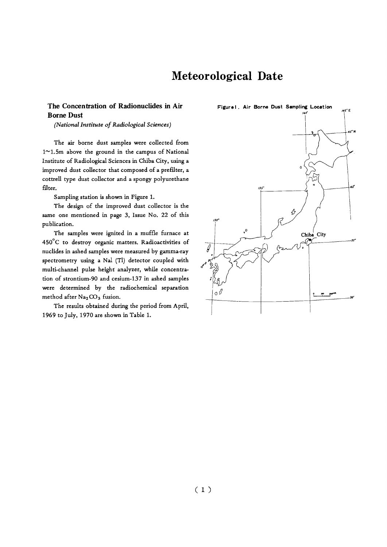# **Meteorological Date**

#### The Concentration of Radionuclides in Air **Borne Dust**

(National Institute of Radiological Sciences)

The air borne dust samples were collected from  $1^{\sim}1.5$ m above the ground in the campus of National Institute of Radiological Sciences in Chiba City, using a improved dust collector that composed of a prefilter, a cottrell type dust collector and a spongy polyurethane filter.

Sampling station is shown in Figure 1.

The design of the improved dust collector is the same one mentioned in page 3, Issue No. 22 of this publication.

The samples were ignited in a muffle furnace at 450°C to destroy organic matters. Radioactivities of nuclides in ashed samples were measured by gamma-ray spectrometry using a Nal (Tl) detector coupled with multi-channel pulse height analyzer, while concentration of strontium-90 and cesium-137 in ashed samples were determined by the radiochemical separation method after Na<sub>2</sub>CO<sub>3</sub> fusion.

The results obtained during the period from April, 1969 to July, 1970 are shown in Table 1.

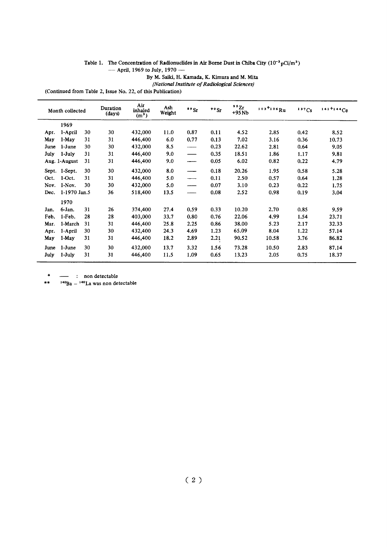#### Table 1. The Concentration of Radionuclides in Air Borne Dust in Chiba City  $(10^{-3} \text{pCi/m}^3)$

- April, 1969 to July, 1970 -

By M. Saiki, H. Kamada, K. Kimura and M. Mita

(National Institute of Radiological Sciences)

(Continued from Table 2, Issue No. 22, of this Publication)

|       | Month collected |    | Duration<br>(days) | Air<br>inhaled<br>(m <sup>3</sup> ) | Ash<br>Weight | 89Sr                                                                                                                     | 90St | $\frac{95}{2}$<br>$+95Nb$ | $103 + 106$ Ru | 137Cs | $141 + 144Ce$ |
|-------|-----------------|----|--------------------|-------------------------------------|---------------|--------------------------------------------------------------------------------------------------------------------------|------|---------------------------|----------------|-------|---------------|
|       | 1969            |    |                    |                                     |               |                                                                                                                          |      |                           |                |       |               |
| Apr.  | 1-April         | 30 | 30                 | 432,000                             | 11.0          | 0.87                                                                                                                     | 0.11 | 4.52                      | 2.85           | 0.42  | 8.52          |
| May   | 1-May           | 31 | 31                 | 446,400                             | 6.0           | 0.77                                                                                                                     | 0.13 | 7.02                      | 3.16           | 0.36  | 10.73         |
| June  | 1-June          | 30 | 30                 | 432,000                             | 8.5           |                                                                                                                          | 0.23 | 22.62                     | 2.81           | 0.64  | 9.05          |
| July  | 1-July          | 31 | 31                 | 446,400                             | 9.0           |                                                                                                                          | 0.35 | 18.51                     | 1.86           | 1.17  | 9,81          |
|       | Aug. 1-August   | 31 | 31                 | 446,400                             | 9.0           |                                                                                                                          | 0.05 | 6.02                      | 0.82           | 0.22  | 4.79          |
| Sept. | 1-Sept.         | 30 | 30                 | 432,000                             | 8.0           |                                                                                                                          | 0.18 | 20.26                     | 1.95           | 0.58  | 5.28          |
| Oct.  | 1-Oct.          | 31 | 31                 | 446,400                             | 5.0           | $\begin{array}{c} \begin{array}{c} \begin{array}{c} \begin{array}{c} \end{array} \\ \end{array} \end{array} \end{array}$ | 0.11 | 2.50                      | 0.57           | 0.64  | 1.28          |
| Nov.  | $1-Nov.$        | 30 | 30                 | 432,000                             | 5.0           | $\overline{\phantom{iiiiiiiiiii}}$                                                                                       | 0.07 | 3.10                      | 0.23           | 0.22  | 1.75          |
| Dec.  | 1-1970 Jan.5    |    | 36                 | 518,400                             | 13.5          |                                                                                                                          | 0.08 | 2.52                      | 0.98           | 0.19  | 3.04          |
|       | 1970            |    |                    |                                     |               |                                                                                                                          |      |                           |                |       |               |
| Jan.  | 6-Jan.          | 31 | 26                 | 374,400                             | 27.4          | 0.59                                                                                                                     | 0.33 | 10.20                     | 2.70           | 0.85  | 9.59          |
| Feb.  | 1-Feb.          | 28 | 28                 | 403,000                             | 33.7          | 0.80                                                                                                                     | 0.76 | 22.06                     | 4.99           | 1.54  | 23.71         |
| Mar.  | 1-March         | 31 | 31                 | 446,400                             | 25.8          | 2.25                                                                                                                     | 0.86 | 38.00                     | 5.23           | 2.17  | 32.33         |
| Apr.  | 1-April         | 30 | 30                 | 432,400                             | 24.3          | 4.69                                                                                                                     | 1.23 | 65.09                     | 8.04           | 1.22  | 57.14         |
| May   | 1-May           | 31 | 31                 | 446,400                             | 18.2          | 2.89                                                                                                                     | 2.21 | 90.52                     | 10.58          | 3.76  | 86.82         |
| June  | 1-June          | 30 | 30                 | 432,000                             | 13.7          | 3.32                                                                                                                     | 1.56 | 73.28                     | 10.50          | 2.83  | 87.14         |
| July  | 1-July          | 31 | 31                 | 446,400                             | 11.5          | 1.09                                                                                                                     | 0.65 | 13.23                     | 2.05           | 0.75  | 18.37         |

 $\ast$  $-$ : non detectable ÷.

 $***$  $140Ba - 140La$  was non detectable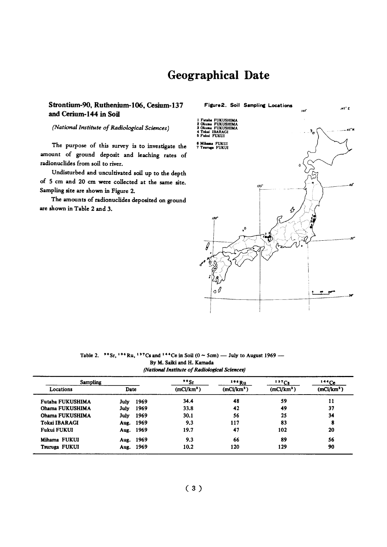# **Geographical Date**

#### Strontium-90, Ruthenium-106, Cesium-137 and Cerium-144 in Soil

(National Institute of Radiological Sciences)

The purpose of this survey is to investigate the amount of ground deposit and leaching rates of radionuclides from soil to river.

Undisturbed and uncultivated soil up to the depth of 5 cm and 20 cm were collected at the same site. Sampling site are shown in Figure 2.

The amounts of radionuclides deposited on ground are shown in Table 2 and 3.



Table 2.  $80^{\circ}$  Sr,  $10^{\circ}$  Ru,  $13^{\circ}$  Cs and  $14^{\circ}$  Ce in Soil (0 ~ 5cm) — July to August 1969 — By M. Saiki and H. Kamada (National Institute of Radiological Sciences)

| <b>Sampling</b>      |                     | $\cdot$ $\cdot$ Sr     | 106 Ru                 | 137Cs                  | 144C <sub>e</sub>      |
|----------------------|---------------------|------------------------|------------------------|------------------------|------------------------|
| Locations            | Date                | (mCi/km <sup>2</sup> ) | (mCi/km <sup>2</sup> ) | (mCi/km <sup>2</sup> ) | (mCi/km <sup>2</sup> ) |
| Futaba FUKUSHIMA     | 1969<br>July        | 34.4                   | 48                     | 59                     | 11                     |
| Ohama FUKUSHIMA      | 1969<br>July        | 33.8                   | 42                     | 49                     | 37                     |
| Ohama FUKUSHIMA      | 1969<br><b>July</b> | 30.1                   | 56                     | 25                     | 34                     |
| <b>Tokai IBARAGI</b> | 1969<br>Aug.        | 9.3                    | 117                    | 83                     | 8                      |
| <b>Fukui FUKUI</b>   | Aug. 1969           | 19.7                   | 47                     | 102                    | 20                     |
| Mihama FUKUI         | Aug. 1969           | 9.3                    | 66                     | 89                     | 56                     |
| Tsuruga FUKUI        | Aug. 1969           | 10.2                   | 120                    | 129                    | 90                     |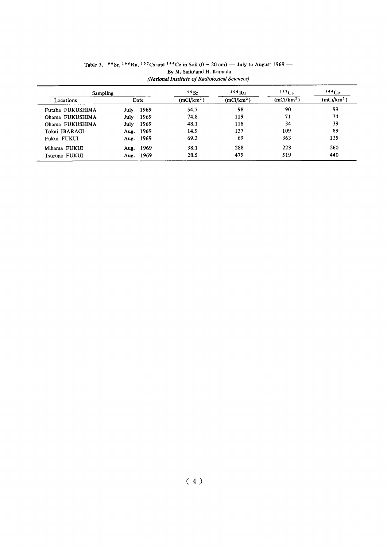| Sampling         |              | 90Sr                   | $106$ Ru               | 137Cs                  | 144C <sub>e</sub>      |
|------------------|--------------|------------------------|------------------------|------------------------|------------------------|
| Locations        | Date         | (mCi/km <sup>2</sup> ) | (mCi/km <sup>2</sup> ) | (mCi/km <sup>2</sup> ) | (mCi/km <sup>2</sup> ) |
| Futaba FUKUSHIMA | 1969<br>July | 54.7                   | 98                     | 90                     | 99                     |
| Ohama FUKUSHIMA  | 1969<br>July | 74.8                   | 119                    | 71                     | 74                     |
| Ohama FUKUSHIMA  | 1969<br>July | 48.1                   | 118                    | 34                     | 39                     |
| Tokai IBARAGI    | Aug. 1969    | 14.9                   | 137                    | 109                    | 89                     |
| Fukui FUKUI      | Aug. 1969    | 69.3                   | 69                     | 363                    | 125                    |
| Mihama FUKUI     | Aug. 1969    | 38.1                   | 288                    | 223                    | 260                    |
| Tsuruga FUKUI    | 1969<br>Aug. | 28.5                   | 479                    | 519                    | 440                    |

#### Table 3.  $30^{\circ}$  Sr,  $10^{\circ}$  Ru,  $137$ Cs and  $144$ Ce in Soil (0 ~ 20 cm) — July to August 1969 — By M. Saiki and H. Kamada (National Institute of Radiological Sciences)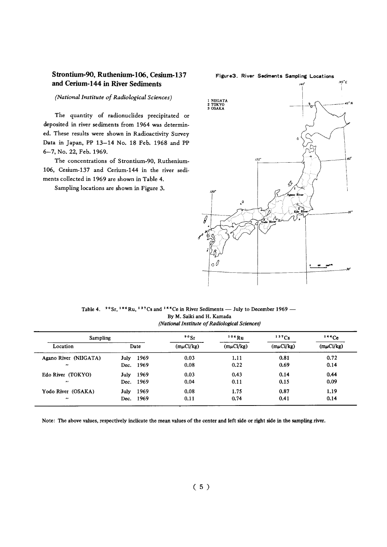#### Strontium-90, Ruthenium-106, Cesium-137 and Cerium-144 in River Sediments

#### (National Institute of Radiological Sciences)

The quantity of radionuclides precipitated or deposited in river sediments from 1964 was determined. These results were shown in Radioactivity Survey Data in Japan, PP 13-14 No. 18 Feb. 1968 and PP 6-7, No. 22, Feb. 1969.

The concentrations of Strontium-90, Ruthenium-106, Cesium-137 and Cerium-144 in the river sediments collected in 1969 are shown in Table 4.

Sampling locations are shown in Figure 3.



Table 4. <sup>90</sup>Sr, <sup>106</sup>Ru, <sup>137</sup>Cs and <sup>144</sup>Ce in River Sediments — July to December 1969 — By M. Saiki and H. Kamada (National Institute of Radiological Sciences)

| Sampling              |                | 90St                 | 106Ru          | $137C_8$             | 144Ce          |
|-----------------------|----------------|----------------------|----------------|----------------------|----------------|
| Location              | Date           | $(m\mu\text{Ci/kg})$ | $(m\mu Ci/kg)$ | $(m\mu\text{Ci/kg})$ | $(m\mu Ci/kg)$ |
| Agano River (NIIGATA) | 1969<br>July   | 0.03                 | 1.11           | 0.81                 | 0.72           |
| $\cdot$               | Dec. 1969      | 0.08                 | 0.22           | 0.69                 | 0.14           |
| Edo River (TOKYO)     | 1969<br>July   | 0.03                 | 0.43           | 0.14                 | 0.44           |
| $\cdot$               | Dec. 1969      | 0.04                 | 0.11           | 0.15                 | 0.09           |
| Yodo River (OSAKA)    | 1969<br>July   | 0.08                 | 1.75           | 0.87                 | 1.19           |
| $\cdots$              | - 1969<br>Dec. | 0.11                 | 0.74           | 0.41                 | 0.14           |

Note: The above values, respectively inclicate the mean values of the center and left side or right side in the sampling river.

#### Figure3. River Sediments Sampling Locations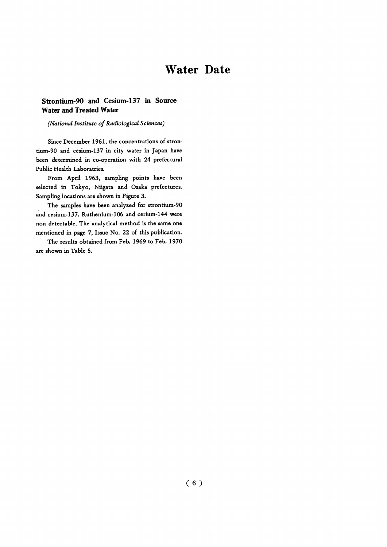## **Water Date**

#### Strontium-90 and Cesium-137 in Source **Water and Treated Water**

(National Institute of Radiological Sciences)

Since December 1961, the concentrations of strontium-90 and cesium-137 in city water in Japan have been determined in co-operation with 24 prefectural Public Health Laboratries.

From April 1963, sampling points have been selected in Tokyo, Niigata and Osaka prefectures. Sampling locations are shown in Figure 3.

The samples have been analyzed for strontium-90 and cesium-137. Ruthenium-106 and cerium-144 were non detectable. The analytical method is the same one mentioned in page 7, Issue No. 22 of this publication.

The results obtained from Feb. 1969 to Feb. 1970 are shown in Table 5.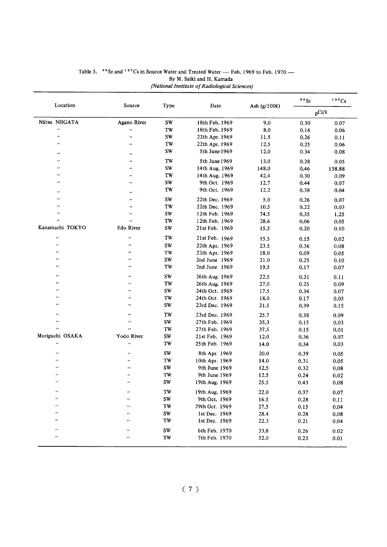| Location               | Source                  |                    | Type<br>Date   | Ash $(g/100R)$ | 90St              | 137Cs    |  |
|------------------------|-------------------------|--------------------|----------------|----------------|-------------------|----------|--|
|                        |                         |                    |                |                | $p^{\text{Ci/R}}$ |          |  |
| Niitsu NIIGATA         | Agano River             | $\mathbf{SW}$      | 18th Feb. 1969 | 9.0            | 0.30              | 0.07     |  |
| $\ddot{\phantom{0}}$   | $\ddot{\phantom{0}}$    | TW                 | 18th Feb. 1969 | 8.0            | 0.16              | 0.06     |  |
| $\boldsymbol{\mu}$     | $\cdot$                 | <b>SW</b>          | 22th Apr. 1969 | 11.5           | 0.26              | 0.11     |  |
| $\pmb{\epsilon}$       | $\pmb{\cdot}$           | TW                 | 22th Apr. 1969 | 12.5           | 0.25              | 0.06     |  |
| $\pmb{\cdot}$          | $\bullet$               | SW                 | 5th June 1969  | 12.0           | 0.34              | 0.08     |  |
| $\pmb{\cdots}$         | $^{\prime \prime}$      | TW                 | 5th June 1969  | 13.0           | 0.28              | 0.05     |  |
| $\bar{\phantom{a}}$    | $^{\prime\prime}$       | <b>SW</b>          | 14th Aug. 1969 | 148.0          | 0.46              | 138.88   |  |
| $\bar{\alpha}$         | $\cdot$                 | TW                 | 14th Aug. 1969 | 42.4           | 0.30              | 0.09     |  |
| $\pmb{\cdot}$          | $\bullet$               | SW                 | 9th Oct. 1969  | 12.7           | 0.44              | 0.07     |  |
| $\pmb{\cdot}$          | $\pmb{\cdot}$           | TW                 | 9th Oct. 1969  | 12.2           | 0.38              | 0.04     |  |
| $\cdot$                | $\bullet$               | SW                 | 22th Dec. 1969 | 5.0            | 0.26              | 0.07     |  |
| $\pmb{\cdot}$          | $\overline{\mathbf{r}}$ | TW                 | 22th Dec. 1969 | 10.5           | 0.22              | 0.03     |  |
| $\pmb{\cdot}$          | $\bullet$               | SW                 | 12th Feb. 1969 | 74.5           | 0.35              | 1.25     |  |
| $\mathbf{r}$           | $\bar{\phantom{a}}$     | TW                 | 12th Feb. 1969 | 28.6           | 0.06              | 0.05     |  |
| Kanamachi TOKYO        | Edo River               | <b>SW</b>          | 21st Feb. 1969 | 15.5           | 0.20              | 0.10     |  |
| $\bar{\boldsymbol{r}}$ | $\pmb{\cdot}$           | TW                 | 21st Feb. 1969 | 15.5           | 0.15              | 0.02     |  |
|                        | $\bullet$               | $\text{SW}\xspace$ | 22th Apr. 1969 | 23.5           | 0.36              | 0.08     |  |
| $\bullet$              | $\pmb{\cdot}$           | TW                 | 22th Apr. 1969 | 18.0           | 0.09              | 0.05     |  |
| $\pmb{\cdot}$          | $\alpha$                | $\text{SW}\xspace$ | 2nd June 1969  | 21.0           | 0.25              | 0.10     |  |
| $\pmb{\cdots}$         | $\pmb{\cdot}$           | TW                 | 2nd June 1969  | 19.5           | 0.17              | 0.07     |  |
| $\bullet$ $\bullet$    | $\pmb{\cdot}$           | SW                 | 26th Aug. 1969 | 22.5           | 0.31              | 0.11     |  |
| $\pmb{\cdots}$         | $\bullet$               | TW                 | 26th Aug. 1969 | 27.0           | 0.25              | 0.09     |  |
| $\pmb{\cdot}$          |                         | SW                 | 24th Oct. 1969 | 17.5           | 0.34              | 0.07     |  |
| $\pmb{\cdot}$          | $\pmb{\cdot}$           | TW                 | 24th Oct. 1969 | 18.0           | 0.17              | 0.05     |  |
| $\pmb{\cdot}$          | $\pmb{\cdot}$           | SW                 | 23rd Dec. 1969 | 21.5           | 0.39              | 0.15     |  |
| $\pmb{\cdot}$          | $\bullet$               | TW                 | 23rd Dec. 1969 | 25.7           | 0.38              | 0.09     |  |
| $\pmb{\cdots}$         | $\ddot{\phantom{0}}$    | <b>SW</b>          | 27th Feb. 1969 | 35.3           | 0.15              | 0.03     |  |
| $\cdot$                | $\ddot{\phantom{0}}$    | TW                 | 27th Feb. 1969 | 37.5           | 0.15              | 0.01     |  |
| Moriguchi OSAKA        | Yodo River              | SW                 | 21st Feb. 1969 | 12.0           | 0.36              | 0.07     |  |
| $\cdot$                | $\ddot{\phantom{0}}$    | TW                 | 25th Feb. 1969 | 14.0           | 0.34              | 0.03     |  |
| $\bullet$              | $\pmb{\cdot}$           | <b>SW</b>          | 8th Apr. 1969  | 20.0           | 0.39              | 0.05     |  |
| ,,                     | $\cdot\cdot$            | TW                 | 10th Apr. 1969 | 14.0           | 0.31              | 0.05     |  |
| ,,                     | $\pmb{\cdot}$           | SW                 | 9th June 1969  | 12.5           | 0.32              | 0.08     |  |
| $\cdot$                | $\pmb{\cdot}$           | TW                 | 9th June 1969  | 12.5           | 0.24              | 0.02     |  |
| $\bullet$              | $\overline{\mathbf{r}}$ | <b>SW</b>          | 19th Aug. 1969 | 25.5           | 0.43              | 0.08     |  |
| $\pmb{\cdot}$          | $\pmb{\cdot}$           | TW                 | 19th Aug. 1969 | 22.0           | 0.37              | 0.07     |  |
| ,,                     | $\cdot$                 | SW                 | 9th Oct. 1969  | 16.5           | 0.28              | 0.11     |  |
| $\bullet$              | ,,                      | TW                 | 29th Oct. 1969 | 27.5           | 0.15              | 0.04     |  |
| $\cdots$               | .,                      | SW                 | 1st Dec. 1969  | 28.4           | 0.28              | 0.08     |  |
| ,,                     | ,,                      | TW                 | 1st Dec. 1969  | 22.3           | 0.21              | 0.04     |  |
| $\pmb{\cdot}$          | ,,                      | SW                 | 6th Feb. 1970  | 33.8           | 0.26              | $0.02\,$ |  |
| $\pmb{\cdot}$          | $\cdot\cdot$            | TW                 | 7th Feb. 1970  | 32.0           | 0.23              | 0.01     |  |

#### Table 5.  $90$  Sr and  $137$ Cs in Source Water and Treated Water - Feb. 1969 to Feb. 1970 -By M. Saiki and H. Kamada (National Institute of Radiological Sciences)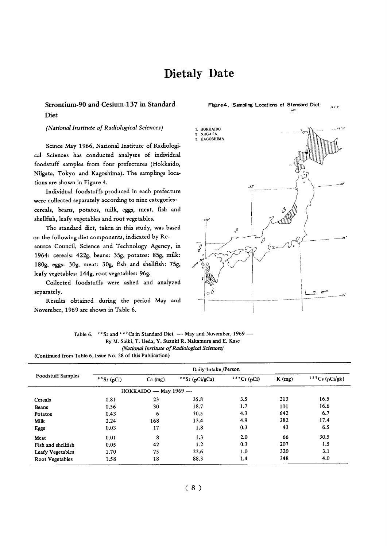## Dietaly Date

#### Strontium-90 and Cesium-137 in Standard Diet

#### (National Institute of Radiological Sciences)

Scince May 1966, National Institute of Radiological Sciences has conducted analyses of individual foodstuff samples from four prefectures (Hokkaido, Niigata, Tokyo and Kagoshima). The samplings locations are shown in Figure 4.

Individual foodstuffs produced in each prefecture were collected separately according to nine categories: cereals, beans, potatos, milk, eggs, meat, fish and shellfish, leafy vegetables and root vegetables.

The standard diet, taken in this study, was based on the following diet components, indicated by Resource Council, Science and Technology Agency, in 1964: cereals: 422g, beans: 35g, potatos: 85g, milk: 180g, eggs: 30g, meat: 30g, fish and shellfish: 75g, leafy vegetables: 144g, root vegetables: 96g.

Collected foodstuffs were ashed and analyzed separately.

Results obtained during the period May and November, 1969 are shown in Table 6.



Figure 4. Sampling Locations of Standard Diet

 $145^\circ E$ 

Table 6. <sup>90</sup> Sr and <sup>137</sup>Cs in Standard Diet – May and November, 1969 – By M. Saiki, T. Ueda, Y. Suzuki R. Nakamura and E. Kase (National Institute of Radiological Sciences)

(Continued from Table 6, Issue No. 28 of this Publication)

|                          | Daily Intake/Person |                         |                   |            |          |                  |  |  |
|--------------------------|---------------------|-------------------------|-------------------|------------|----------|------------------|--|--|
| <b>Foodstuff Samples</b> | $90$ Sr (pCi)       | $Ca$ (mg)               | $90$ Sr (pCi/gCa) | 137Cs(pCi) | $K$ (mg) | $127Cs$ (pCi/gk) |  |  |
|                          |                     | $HOKKAIDO$ - May 1969 - |                   |            |          |                  |  |  |
| Cereals                  | 0.81                | 23                      | 35.8              | 3.5        | 213      | 16.5             |  |  |
| Beans                    | 0.56                | 30                      | 18.7              | 1.7        | 101      | 16.6             |  |  |
| Potatos                  | 0.43                | 6                       | 70.5              | 4.3        | 642      | 6.7              |  |  |
| <b>Milk</b>              | 2.24                | 168                     | 13.4              | 4.9        | 282      | 17.4             |  |  |
| Eggs                     | 0.03                | 17                      | 1.8               | 0.3        | 43       | 6.5              |  |  |
| Meat                     | 0.01                | 8                       | 1.3               | 2.0        | 66       | 30.5             |  |  |
| Fish and shellfish       | 0.05                | 42                      | 1.2               | 0.3        | 207      | 1.5              |  |  |
| Leafy Vegetables         | 1.70                | 75                      | 22.6              | 1.0        | 320      | 3.1              |  |  |
| Root Vegetables          | 1.58                | 18                      | 88.3              | 1.4        | 348      | 4.0              |  |  |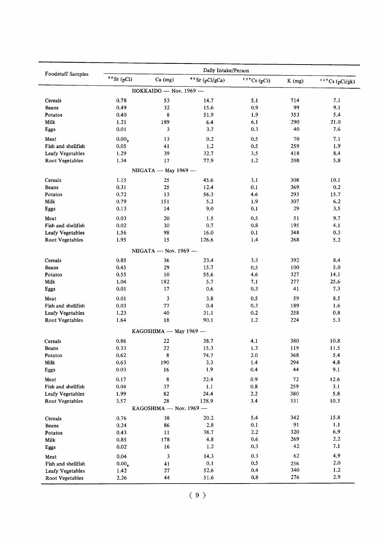|                    | Daily Intake/Person |                               |                 |                |            |                              |  |
|--------------------|---------------------|-------------------------------|-----------------|----------------|------------|------------------------------|--|
| Foodstuff Samples  | 90 Sr (pCi)         | Ca (mg)                       | 90 Sr (pCi/gCa) | 137Cs(pCi)     | K(mg)      | $^{127}\mathrm{Cs}$ (pCi/gk) |  |
|                    |                     | HOKKAIDO - Nov. 1969 -        |                 |                |            |                              |  |
| Cereals            | 0.78                | 53                            | 14.7            | 5.1            | 714        | 7.1                          |  |
| Beans              | 0.49                | 32                            | 15.6            | 0.9            | 99         | 9.1                          |  |
| Potatos            | 0.40                | 8                             | 51.9            | 1.9            | 353        | 5.4                          |  |
| Milk               | 1.21                | 189                           | 6.4             | 6.1            | 290        | 21.0                         |  |
| Eggs               | $0.01\,$            | 3                             | 3.7             | 0.3            | 40         | 7.6                          |  |
| Meat               | $0.00_3$            | 13                            | 0.2             | 0.5            | 70         | 7.1                          |  |
| Fish and shellfish | 0.05                | 41                            | 1.2             | 0.5            | 259        | 1.9                          |  |
| Leafy Vegetables   | 1.29                | 39                            | 32.7            | 3.5            | 418        | 8.4                          |  |
| Root Vegetables    | 1.34                | 17                            | 77.9            | 1.2            | 208        | 5.8                          |  |
|                    |                     | NIIGATA $-$ May 1969 $-$      |                 |                |            |                              |  |
| Cereals            | 1.15                | 25                            | 45.6            | 3.1            | 308        | 10.1                         |  |
| Beans              | 0.31                | 25                            | 12.4            | 0.1            | 369        | 0.2                          |  |
| Potatos            | 0.72                | 13                            | 56.3            | 4.6            | 293        | 15.7                         |  |
| Milk               | 0.79                | 151                           | 5.2             | 1.9            | 307        | 6.2                          |  |
| Eggs               | 0.13                | 14                            | 9.0             | 0.1            | 29         | 3.5                          |  |
| Meat               | 0.03                | 20                            | 1.5             | 0.5            | 51         | 9.7                          |  |
| Fish and shellfish | 0.02                | 30                            | 0.7             | 0.8            | 195        | 4.1                          |  |
| Leafy Vegetables   | 1.56                | 98                            | 16.0            | 0.1            | 348        | 0.3                          |  |
| Root Vegetables    | 1.95                | 15                            | 126.6           | 1.4            | 268        | 5.2                          |  |
|                    |                     | NIIGATA $-$ Nov. 1969 $-$     |                 |                |            |                              |  |
|                    |                     |                               |                 |                |            |                              |  |
| Cereals            | 0.85                | 36                            | 23.4            | 3.3            | 392        | 8.4                          |  |
| Beans              | 0.45                | 29                            | 15.7            | 0.5            | 100        | 5.0                          |  |
| Potatos            | 0.55                | 10                            | 55.6            | 4.6            | 327        | 14.1                         |  |
| Milk               | 1.04                | 182                           | 5.7             | 7.1            | 277        | 25.6                         |  |
| Eggs               | $0.01\,$            | 17                            | 0.6             | 0.3            | 41         | 7.3                          |  |
| Meat               | 0.01                | 3                             | 3.8             | 0.5            | 59         | 8.5                          |  |
| Fish and shellfish | 0.03                | 77                            | 0.4             | 0.3            | 189        | 1.6                          |  |
| Leafy Vegetables   | 1.23<br>1.64        | 40<br>18                      | 31.1<br>90.1    | 0.2<br>1.2     | 258<br>224 | 0.8<br>5.3                   |  |
| Root Vegetables    |                     |                               |                 |                |            |                              |  |
|                    |                     | KAGOSHIMA - May 1969 -        |                 |                |            |                              |  |
| Cereals            | 0.86                | 22                            | 38.7            | 4.1            | 380        | 10.8                         |  |
| Beans              | 0.33                | 22                            | 15.3            | 1.3            | 119        | 11.5                         |  |
| Potatos            | $0.62\,$            | 8                             | 74.7            | 2.0            | 368        | 5.4                          |  |
| Milk               | 0.63                | 190                           | 3.3<br>1.9      | 1.4            | 294        | 4.8                          |  |
| Eggs               | $0.03\,$            | 16                            |                 | 0.4            | 44         | 9.1                          |  |
| Meat               | $0.17\,$            | 8                             | 22.4            | 0.9            | 72         | 12.6                         |  |
| Fish and shellfish | $0.04\,$            | 37                            | 1.1             | $\mathbf{0.8}$ | 259        | 3.1                          |  |
| Leafy Vegetables   | 1.99                | 82                            | 24.4            | 2.2            | 380        | 5.8                          |  |
| Root Vegetables    | 3.57                | 28<br>KAGOSHIMA - Nov. 1969 - | 128.9           | 3.4            | 331        | 10.3                         |  |
|                    |                     |                               |                 |                |            |                              |  |
| Cereals            | $0.76\,$            | 38                            | 20.2            | 5.4            | 342        | 15.8                         |  |
| $\it{Beans}$       | 0.24                | 86                            | 2.8             | 0.1            | 91         | 1.1                          |  |
| Potatos            | 0.43                | 11                            | 38.7            | 2.2            | 320        | 6.9                          |  |
| Milk               | 0.85                | 178                           | 4.8             | 0.6            | 269        | 2.2                          |  |
| Eggs               | 0.02                | 16                            | 1.2             | 0.3            | 42         | 7.1                          |  |
| Meat               | 0.04                | 3                             | 14.3            | 0.3            | 62         | 4.9                          |  |
| Fish and shellfish | 0.00 <sub>6</sub>   | 41                            | $0.1\,$         | 0.5            | 256        | 2.0                          |  |
| Leafy Vegetables   | 1.42                | 27                            | 52.6            | 0.4            | 340        | 1.2                          |  |
| Root Vegetables    | 2.26                | 44                            | 51.6            | $\mathbf{0.8}$ | 276        | 2.9                          |  |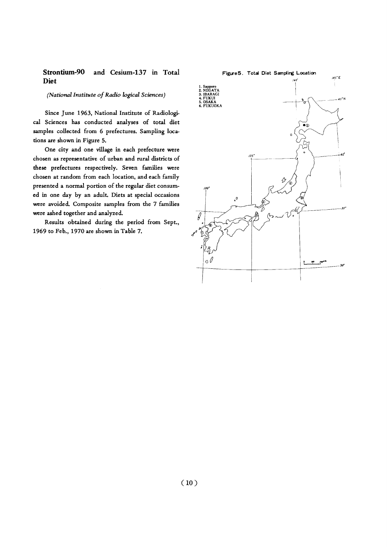#### Strontium-90 and Cesium-137 in Total **Diet**

#### (National Institute of Radio logical Sciences)

Since June 1963, National Institute of Radiological Sciences has conducted analyses of total diet samples collected from 6 prefectures. Sampling locations are shown in Figure 5.

One city and one village in each prefecture were chosen as representative of urban and rural districts of these prefectures respectively. Seven families were chosen at random from each location, and each family presented a normal portion of the regular diet consumed in one day by an adult. Diets at special occasions were avoided. Composite samples from the 7 families were ashed together and analyzed.

Results obtained during the period from Sept., 1969 to Feb., 1970 are shown in Table 7.

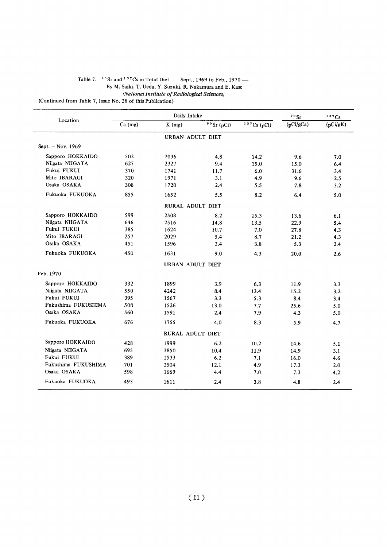#### Table 7.  $\degree$  Sr and  $\degree$  Cs in Total Diet. By M. Saiki, T. Ueda, Y. Suzuki, R. N (National Institute of Radiological Sciences) (Continued from Table 7, Issue No. 28 of this Publication)

| Location            |           | 90Sr                    | 137Cs       |            |           |          |
|---------------------|-----------|-------------------------|-------------|------------|-----------|----------|
|                     | $Ca$ (mg) | $K$ (mg)                | 90 Sr (pCi) | 137Cs(pCi) | (pCi/gCa) | (pCi/gK) |
|                     |           | URBAN ADULT DIET        |             |            |           |          |
| Sept. - Nov. 1969   |           |                         |             |            |           |          |
| Sapporo HOKKAIDO    | 502       | 2036                    | 4.8         | 14.2       | 9.6       | 7.0      |
| Niigata NIIGATA     | 627       | 2327                    | 9.4         | 15.0       | 15.0      | 6.4      |
| Fukui FUKUI         | 370       | 1741                    | 11.7        | 6.0        | 31.6      | 3.4      |
| Mito IBARAGI        | 320       | 1971                    | 3.1         | 4.9        | 9.6       | 2.5      |
| Osaka OSAKA         | 308       | 1720                    | 2.4         | 5.5        | 7.8       | 3.2      |
| Fukuoka FUKUOKA     | 855       | 1652                    | 5.5         | 8.2        | 6.4       | 5.0      |
|                     |           | RURAL ADULT DIET        |             |            |           |          |
| Sapporo HOKKAIDO    | 599       | 2508                    | 8.2         | 15.3       | 13.6      | 6.1      |
| Niigata NIIGATA     | 646       | 2516                    | 14.8        | 13.5       | 22.9      | 5.4      |
| Fukui FUKUI         | 385       | 1624                    | 10.7        | 7.0        | 27.8      | 4.3      |
| Mito IBARAGI        | 257       | 2029                    | 5.4         | 8.7        | 21.2      | 4.3      |
| Osaka OSAKA         | 451       | 1596                    | 2.4         | 3.8        | 5.3       | 2.4      |
| Fukuoka FUKUOKA     | 450       | 1631                    | 9.0         | 4.3        | 20.0      | 2.6      |
|                     |           | URBAN ADULT DIET        |             |            |           |          |
| Feb. 1970           |           |                         |             |            |           |          |
| Sapporo HOKKAIDO    | 332       | 1899                    | 3.9         | 6.3        | 11.9      | 3,3      |
| Niigata NIIGATA     | 550       | 4242                    | 8.4         | 13.4       | 15.2      | 3.2      |
| Fukui FUKUI         | 395       | 1567                    | 3,3         | 5.3        | 8.4       | 3.4      |
| Fukushima FUKUSHIMA | 508       | 1526                    | 13.0        | 7.7        | 25.6      | 5.0      |
| Osaka OSAKA         | 560       | 1591                    | 2.4         | 7.9        | 4.3       | 5.0      |
| Fukuoka FUKUOKA     | 676       | 1755                    | 4.0         | 8.3        | 5.9       | 4.7      |
|                     |           | <b>RURAL ADULT DIET</b> |             |            |           |          |
| Sapporo HOKKAIDO    | 428       | 1999                    | 6.2         | 10.2       | 14.6      | 5.1      |
| Niigata NIIGATA     | 695       | 3850                    | 10.4        | 11.9       | 14.9      | 3.1      |
| Fukui FUKUI         | 389       | 1533                    | 6.2         | 7.1        | 16.0      | 4.6      |
| Fukushima FUKUSHIMA | 701       | 2504                    | 12.1        | 4.9        | 17.3      | 2.0      |
| Osaka OSAKA         | 598       | 1669                    | 4.4         | 7.0        | 7.3       | 4.2      |
| Fukuoka FUKUOKA     | 493       | 1611                    | 2.4         | 3.8        | 4.8       | 2.4      |
|                     |           |                         |             |            |           |          |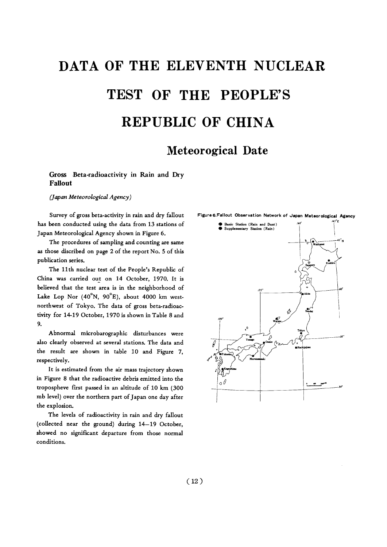# DATA OF THE ELEVENTH NUCLEAR TEST OF THE PEOPLE'S **REPUBLIC OF CHINA**

# **Meteorogical Date**

#### Gross Beta-radioactivity in Rain and Dry **Fallout**

(Japan Meteorological Agency)

Survey of gross beta-activity in rain and dry fallout has been conducted using the data from 13 stations of Japan Meteorological Agency shown in Figure 6.

The procedures of sampling and counting are same as those discribed on page 2 of the report No. 5 of this publication series.

The 11th nuclear test of the People's Republic of China was carried out on 14 October, 1970. It is believed that the test area is in the neighborhood of Lake Lop Nor  $(40^{\circ}N, 90^{\circ}E)$ , about 4000 km westnorthwest of Tokyo. The data of gross beta-radioactivity for 14-19 October, 1970 is shown in Table 8 and 9.

Abnormal microbarographic disturbances were also clearly observed at several stations. The data and the result are shown in table 10 and Figure 7, respectively.

It is estimated from the air mass trajectory shown in Figure 8 that the radioactive debris emitted into the tropospheve first passed in an altitude of 10 km (300 mb level) over the northern part of Japan one day after the explosion.

The levels of radioactivity in rain and dry fallout (collected near the ground) during 14-19 October, showed no significant departure from those normal conditions.

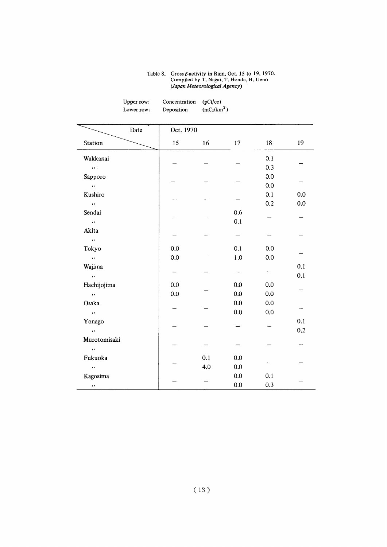#### Table 8. Gross  $\beta$ -activity in Rain, Oct. Compiled by T. Nagai, T. H (Japan Meteorological Agenc

| Date                     | Oct. 1970 |     |                          |            |     |  |  |
|--------------------------|-----------|-----|--------------------------|------------|-----|--|--|
| Station                  | 15        | 16  | 17                       | 18         | 19  |  |  |
| Wakkanai                 |           |     |                          | 0.1        |     |  |  |
| $\alpha$                 |           |     |                          | 0.3        |     |  |  |
| Sapporo                  |           |     |                          | 0.0        |     |  |  |
| $\bar{B}$                |           |     |                          | 0.0        |     |  |  |
| Kushiro                  |           |     |                          | 0.1        | 0.0 |  |  |
| $\ddot{\phantom{a}}$     |           |     |                          | 0.2        | 0.0 |  |  |
| Sendai                   |           |     | 0.6                      |            |     |  |  |
| $\ddot{\phantom{a}}$     |           |     | 0.1                      |            |     |  |  |
| Akita                    |           |     | $\overline{\phantom{0}}$ |            |     |  |  |
| $\ddot{\phantom{a}}$     |           |     |                          |            |     |  |  |
| Tokyo                    | 0.0       |     | 0.1                      | 0.0        |     |  |  |
| $\bar{H}$                | 0.0       |     | $1.0\,$                  | $0.0\,$    |     |  |  |
| Wajima                   |           |     | —                        |            | 0.1 |  |  |
| $\ddot{\phantom{1}}$     |           |     |                          |            | 0.1 |  |  |
| Hachijojima              | 0.0       |     | 0.0                      | 0.0        |     |  |  |
| $\ddot{\phantom{0}}$     | 0.0       |     | 0.0                      | 0.0        |     |  |  |
| Osaka                    |           |     | 0.0                      | 0.0<br>0.0 |     |  |  |
| $\ddot{\phantom{a}}$     |           |     | 0.0                      |            |     |  |  |
| Yonago                   |           |     |                          |            | 0.1 |  |  |
| ñ                        |           |     |                          |            | 0.2 |  |  |
| Murotomisaki             |           |     |                          |            |     |  |  |
| $\overline{\phantom{a}}$ |           |     |                          |            |     |  |  |
| Fukuoka                  |           | 0.1 | 0.0                      |            |     |  |  |
| $\bullet$                |           | 4.0 | 0.0                      |            |     |  |  |
| Kagosima                 |           |     | 0.0                      | 0.1        |     |  |  |
| $\ddot{\phantom{0}}$     |           |     | 0.0                      | 0.3        |     |  |  |

Upper row: Concentration  $(pC)/c$ Lower row: Deposition (mCi/km<sup>-</sup>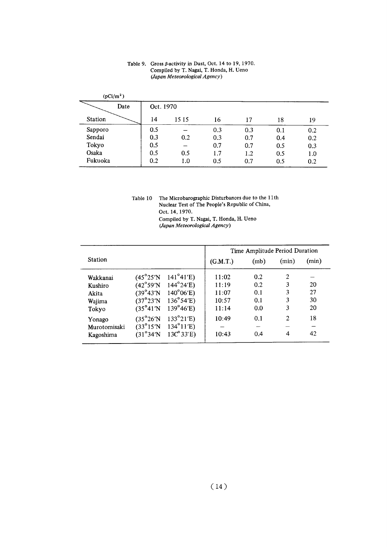| Table 9. Gross $\beta$ -activity in Dust, Oct. 14 to 19, 1970. |
|----------------------------------------------------------------|
| Compiled by T. Nagai, T. Honda, H. Ueno                        |
| (Japan Meteorological Agency)                                  |

| $(pCi/m^2)$ |     |           |     |     |     |     |  |
|-------------|-----|-----------|-----|-----|-----|-----|--|
| Date        |     | Oct. 1970 |     |     |     |     |  |
| Station     | 14  | 15 15     | 16  | 17  | 18  | 19  |  |
| Sapporo     | 0.5 |           | 0.3 | 0.3 | 0.1 | 0.2 |  |
| Sendai      | 0.3 | 0.2       | 0.3 | 0.7 | 0.4 | 0.2 |  |
| Tokyo       | 0.5 |           | 0.7 | 0.7 | 0.5 | 0.3 |  |
| Osaka       | 0.5 | 0.5       | 1.7 | 1.2 | 0.5 | 1.0 |  |
| Fukuoka     | 0.2 | 1.0       | 0.5 | 0.7 | 0.5 | 0.2 |  |

Table 10 The Microbarographic Disturbance Nuclear Test of The People's Rep Oct.14,1970. Compiled by T. Nagai, T. Honda, (Japan Meteorological Agency)

|                |                            |                   | Time Amplitude Period Duration |      |                |       |  |
|----------------|----------------------------|-------------------|--------------------------------|------|----------------|-------|--|
| <b>Station</b> |                            |                   | (G.M.T.)                       | (mb) | (min)          | (min) |  |
| Wakkanai       | $(45^{\circ}25^{\prime}N)$ | $141^{\circ}41'E$ | 11:02                          | 0.2  | 2              |       |  |
| Kushiro        | (42°59′N                   | $144^{\circ}24'E$ | 11:19                          | 0.2  | 3              | 20    |  |
| Akita          | (39°43'N)                  | $140^{\circ}06'E$ | 11:07                          | 0.1  | 3              | 27    |  |
| Wajima         | (37°23'N                   | $136^{\circ}54'E$ | 10:57                          | 0.1  | 3              | 30    |  |
| Tokyo          | (35°41'N)                  | $139^{\circ}46'E$ | 11:14                          | 0.0  | 3              | 20    |  |
| Yonago         | $(35^{\circ}26^{\prime}N)$ | $133^{\circ}21'E$ | 10:49                          | 0.1  | $\overline{2}$ | 18    |  |
| Murotomisaki   | $(33^{\circ}15^{\prime}N)$ | $134^{\circ}11'E$ |                                |      |                |       |  |
| Kagoshima      | (31°34'N)                  | $13C^{\circ}33'E$ | 10:43                          | 0.4  | 4              | 42    |  |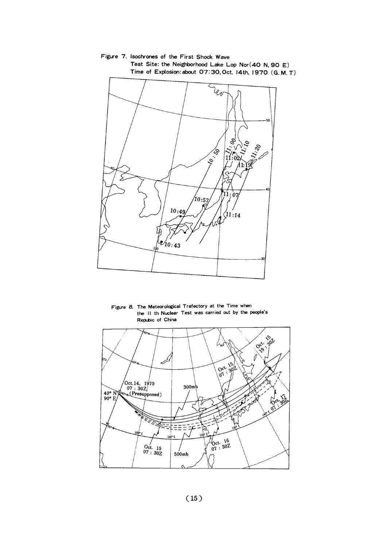

Figure 7. Isochrones of the First Shock Wave Test Site: the Neighborhood Lake Lop Nor(40 N, 90 E) Time of Explosion: about 07:30, Oct. 14th, 1970 (G. M. T)

Figure 8. The Meteorological Trafectory at the Time when the II th Nuclear Test was carried out by the people's Repubic of China

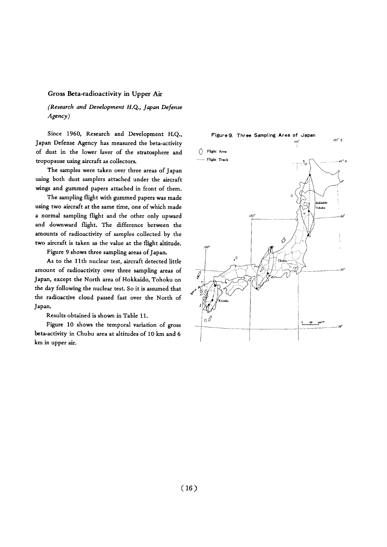#### Gross Beta-radioactivity in Upper Air

(Research and Development H.Q., Japan Defense Agency)

Since 1960, Research and Development H.Q., Japan Defense Agency has measured the beta-activity of dust in the lower laver of the stratosphere and tropopause using aircraft as collectors.

The samples were taken over three areas of Japan using both dust samplers attached under the aircraft wings and gummed papers attached in front of them.

The sampling flight with gummed papers was made using two aircraft at the same time, one of which made a normal sampling flight and the other only upward and downward flight. The difference between the amounts of radioactivity of samples collected by the two aircraft is taken as the value at the flight altitude.

Figure 9 shows three sampling areas of Japan.

As to the 11th nuclear test, aircraft detected little amount of radioactivity over three sampling areas of Japan, except the North area of Hokkaido, Tohoku on the day following the nuclear test. So it is assumed that the radioactive cloud passed fast over the North of Japan.

Results obtained is shown in Table 11.

Figure 10 shows the temporal variation of gross beta-activity in Chubu area at altitudes of 10 km and 6 km in upper air.